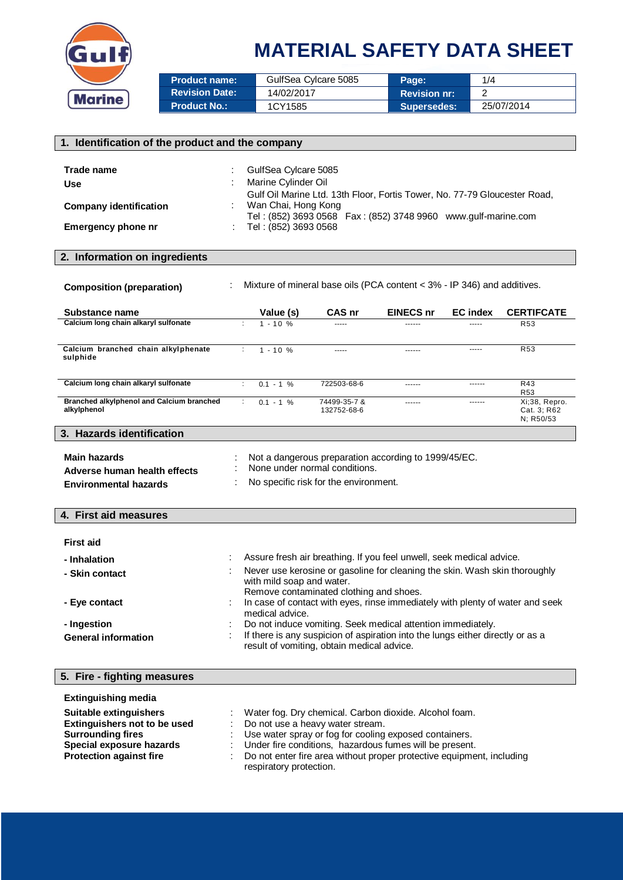

| <b>Product name:</b>  | GulfSea Cylcare 5085 | Page:               | 1/4        |
|-----------------------|----------------------|---------------------|------------|
| <b>Revision Date:</b> | 14/02/2017           | <b>Revision nr:</b> |            |
| <b>Product No.:</b>   | 1CY1585              | <b>Supersedes:</b>  | 25/07/2014 |

| 1. Identification of the product and the company                                                                                                                                                                                                                                                                                                                                                                                                                                                                                                                                                                                                  |                                                                                                                                |                                  |                                                                                                                                                                             |               |                                           |
|---------------------------------------------------------------------------------------------------------------------------------------------------------------------------------------------------------------------------------------------------------------------------------------------------------------------------------------------------------------------------------------------------------------------------------------------------------------------------------------------------------------------------------------------------------------------------------------------------------------------------------------------------|--------------------------------------------------------------------------------------------------------------------------------|----------------------------------|-----------------------------------------------------------------------------------------------------------------------------------------------------------------------------|---------------|-------------------------------------------|
| Trade name<br>GulfSea Cylcare 5085<br>Marine Cylinder Oil<br>Use<br>Gulf Oil Marine Ltd. 13th Floor, Fortis Tower, No. 77-79 Gloucester Road,<br>Wan Chai, Hong Kong<br><b>Company identification</b><br>Tel: (852) 3693 0568  Fax: (852) 3748 9960  www.gulf-marine.com<br><b>Emergency phone nr</b><br>Tel: (852) 3693 0568                                                                                                                                                                                                                                                                                                                     |                                                                                                                                |                                  |                                                                                                                                                                             |               |                                           |
| 2. Information on ingredients                                                                                                                                                                                                                                                                                                                                                                                                                                                                                                                                                                                                                     |                                                                                                                                |                                  |                                                                                                                                                                             |               |                                           |
| <b>Composition (preparation)</b>                                                                                                                                                                                                                                                                                                                                                                                                                                                                                                                                                                                                                  |                                                                                                                                |                                  | Mixture of mineral base oils (PCA content < 3% - IP 346) and additives.                                                                                                     |               |                                           |
| Substance name                                                                                                                                                                                                                                                                                                                                                                                                                                                                                                                                                                                                                                    | Value (s)                                                                                                                      | CAS nr                           | <b>EINECS nr</b>                                                                                                                                                            | EC index      | <b>CERTIFCATE</b>                         |
| Calcium long chain alkaryl sulfonate                                                                                                                                                                                                                                                                                                                                                                                                                                                                                                                                                                                                              | ÷<br>$1 - 10 %$                                                                                                                |                                  |                                                                                                                                                                             | -----         | R <sub>53</sub>                           |
| Calcium branched chain alkylphenate<br>sulphide                                                                                                                                                                                                                                                                                                                                                                                                                                                                                                                                                                                                   | $\mathcal{I}^{\mathcal{I}}$<br>$1 - 10 %$                                                                                      | 1.111                            | $- - - - - -$                                                                                                                                                               | -----         | <b>R53</b>                                |
| Calcium long chain alkaryl sulfonate                                                                                                                                                                                                                                                                                                                                                                                                                                                                                                                                                                                                              | $0.1 - 1$ %<br>÷                                                                                                               | 722503-68-6                      | ------                                                                                                                                                                      | ------        | R43<br>R <sub>53</sub>                    |
| <b>Branched alkylphenol and Calcium branched</b><br>alkylphenol                                                                                                                                                                                                                                                                                                                                                                                                                                                                                                                                                                                   | ÷<br>$0.1 - 1 %$                                                                                                               | 74499-35-7 &<br>132752-68-6      | $- - - - - -$                                                                                                                                                               | $- - - - - -$ | Xi;38, Repro.<br>Cat. 3; R62<br>N: R50/53 |
| 3. Hazards identification                                                                                                                                                                                                                                                                                                                                                                                                                                                                                                                                                                                                                         |                                                                                                                                |                                  |                                                                                                                                                                             |               |                                           |
| Main hazards<br>Adverse human health effects<br><b>Environmental hazards</b>                                                                                                                                                                                                                                                                                                                                                                                                                                                                                                                                                                      | Not a dangerous preparation according to 1999/45/EC.<br>None under normal conditions.<br>No specific risk for the environment. |                                  |                                                                                                                                                                             |               |                                           |
| 4. First aid measures                                                                                                                                                                                                                                                                                                                                                                                                                                                                                                                                                                                                                             |                                                                                                                                |                                  |                                                                                                                                                                             |               |                                           |
| <b>First aid</b><br>Assure fresh air breathing. If you feel unwell, seek medical advice.<br>- Inhalation<br>Never use kerosine or gasoline for cleaning the skin. Wash skin thoroughly<br>- Skin contact<br>with mild soap and water.<br>Remove contaminated clothing and shoes.<br>In case of contact with eyes, rinse immediately with plenty of water and seek<br>- Eve contact<br>medical advice.<br>- Ingestion<br>Do not induce vomiting. Seek medical attention immediately.<br>If there is any suspicion of aspiration into the lungs either directly or as a<br><b>General information</b><br>result of vomiting, obtain medical advice. |                                                                                                                                |                                  |                                                                                                                                                                             |               |                                           |
| 5. Fire - fighting measures                                                                                                                                                                                                                                                                                                                                                                                                                                                                                                                                                                                                                       |                                                                                                                                |                                  |                                                                                                                                                                             |               |                                           |
| <b>Extinguishing media</b><br><b>Suitable extinguishers</b><br><b>Extinguishers not to be used</b><br><b>Surrounding fires</b><br>Special exposure hazards                                                                                                                                                                                                                                                                                                                                                                                                                                                                                        |                                                                                                                                | Do not use a heavy water stream. | Water fog. Dry chemical. Carbon dioxide. Alcohol foam.<br>Use water spray or fog for cooling exposed containers.<br>Under fire conditions, hazardous fumes will be present. |               |                                           |

**Protection against fire including**  $\therefore$  Do not enter fire area without proper protective equipment, including respiratory protection.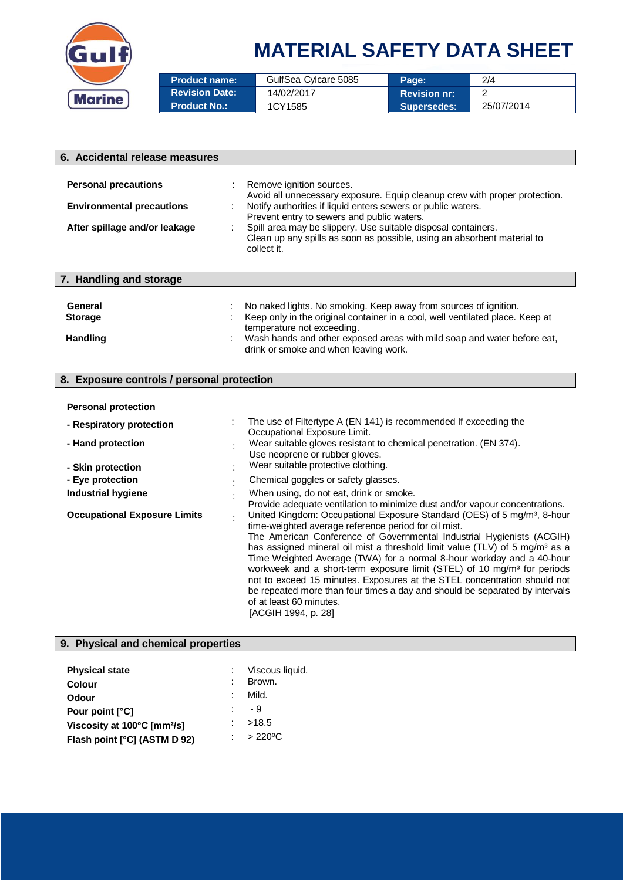

| <b>Product name:</b>  | GulfSea Cylcare 5085 | Page:               | 2/4        |
|-----------------------|----------------------|---------------------|------------|
| <b>Revision Date:</b> | 14/02/2017           | <b>Revision nr:</b> |            |
| <b>Product No.:</b>   | 1CY1585              | <b>Supersedes:</b>  | 25/07/2014 |

| 6. Accidental release measures                       |                                                                                                                                                         |
|------------------------------------------------------|---------------------------------------------------------------------------------------------------------------------------------------------------------|
|                                                      |                                                                                                                                                         |
| <b>Personal precautions</b>                          | Remove ignition sources.<br>Avoid all unnecessary exposure. Equip cleanup crew with proper protection.                                                  |
| <b>Environmental precautions</b>                     | Notify authorities if liquid enters sewers or public waters.<br>Prevent entry to sewers and public waters.                                              |
| After spillage and/or leakage                        | Spill area may be slippery. Use suitable disposal containers.<br>Clean up any spills as soon as possible, using an absorbent material to<br>collect it. |
| 7. Handling and storage                              |                                                                                                                                                         |
|                                                      |                                                                                                                                                         |
| General                                              | No naked lights. No smoking. Keep away from sources of ignition.                                                                                        |
| <b>Storage</b>                                       | Keep only in the original container in a cool, well ventilated place. Keep at<br>temperature not exceeding.                                             |
| <b>Handling</b>                                      | Wash hands and other exposed areas with mild soap and water before eat,<br>drink or smoke and when leaving work.                                        |
|                                                      |                                                                                                                                                         |
| <b>Exposure controls / personal protection</b><br>8. |                                                                                                                                                         |
| <b>Personal protection</b>                           |                                                                                                                                                         |
| - Respiratory protection                             | The use of Filtertype A (EN 141) is recommended If exceeding the<br>Occupational Exposure Limit.                                                        |
| - Hand protection                                    | Wear suitable gloves resistant to chemical penetration. (EN 374).<br>Use neoprene or rubber gloves.                                                     |
| - Skin protection                                    | Wear suitable protective clothing.                                                                                                                      |
| - Eye protection                                     | Chemical goggles or safety glasses.                                                                                                                     |

| - Eye protection                    | Chemical goggles or safety glasses.                                                                                                                                                                                                                                                                                                                                                                                                                                                                                                                                                                                                                                                           |
|-------------------------------------|-----------------------------------------------------------------------------------------------------------------------------------------------------------------------------------------------------------------------------------------------------------------------------------------------------------------------------------------------------------------------------------------------------------------------------------------------------------------------------------------------------------------------------------------------------------------------------------------------------------------------------------------------------------------------------------------------|
| <b>Industrial hygiene</b>           | When using, do not eat, drink or smoke.<br>Provide adequate ventilation to minimize dust and/or vapour concentrations.                                                                                                                                                                                                                                                                                                                                                                                                                                                                                                                                                                        |
| <b>Occupational Exposure Limits</b> | United Kingdom: Occupational Exposure Standard (OES) of 5 mg/m <sup>3</sup> , 8-hour<br>time-weighted average reference period for oil mist.<br>The American Conference of Governmental Industrial Hygienists (ACGIH)<br>has assigned mineral oil mist a threshold limit value (TLV) of 5 mg/m <sup>3</sup> as a<br>Time Weighted Average (TWA) for a normal 8-hour workday and a 40-hour<br>workweek and a short-term exposure limit (STEL) of 10 mg/m <sup>3</sup> for periods<br>not to exceed 15 minutes. Exposures at the STEL concentration should not<br>be repeated more than four times a day and should be separated by intervals<br>of at least 60 minutes.<br>[ACGIH 1994, p. 28] |

| 9. Physical and chemical properties                                                                                                           |          |                                                                        |  |  |
|-----------------------------------------------------------------------------------------------------------------------------------------------|----------|------------------------------------------------------------------------|--|--|
| <b>Physical state</b><br><b>Colour</b><br>Odour<br>Pour point [°C]<br>Viscosity at 100°C [mm <sup>2</sup> /s]<br>Flash point [°C] (ASTM D 92) | ٠.<br>×. | Viscous liquid.<br>Brown.<br>Mild.<br>- 9<br>>18.5<br>$>220^{\circ}$ C |  |  |
|                                                                                                                                               |          |                                                                        |  |  |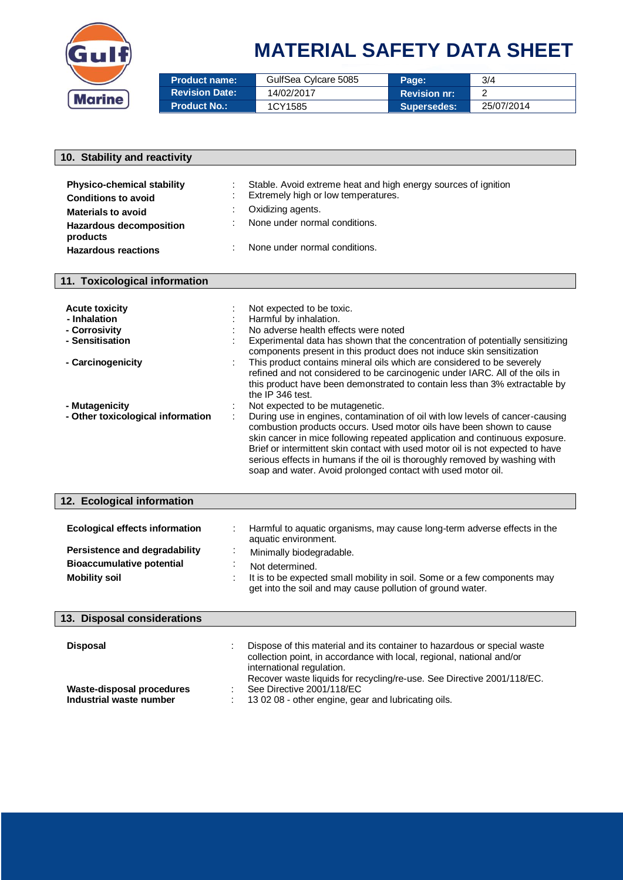

| <b>Product name:</b>  | GulfSea Cylcare 5085 | Page:               | 3/4        |
|-----------------------|----------------------|---------------------|------------|
| <b>Revision Date:</b> | 14/02/2017           | <b>Revision nr:</b> |            |
| <b>Product No.:</b>   | 1CY1585              | <b>Supersedes:</b>  | 25/07/2014 |

| 10. Stability and reactivity          |                                                                                                                                                        |
|---------------------------------------|--------------------------------------------------------------------------------------------------------------------------------------------------------|
|                                       |                                                                                                                                                        |
| <b>Physico-chemical stability</b>     | Stable. Avoid extreme heat and high energy sources of ignition                                                                                         |
| <b>Conditions to avoid</b>            | Extremely high or low temperatures.                                                                                                                    |
| <b>Materials to avoid</b>             | Oxidizing agents.                                                                                                                                      |
| <b>Hazardous decomposition</b>        | None under normal conditions.                                                                                                                          |
| products                              |                                                                                                                                                        |
| <b>Hazardous reactions</b>            | None under normal conditions.                                                                                                                          |
|                                       |                                                                                                                                                        |
| 11. Toxicological information         |                                                                                                                                                        |
|                                       |                                                                                                                                                        |
| <b>Acute toxicity</b><br>- Inhalation | Not expected to be toxic.<br>Harmful by inhalation.                                                                                                    |
| - Corrosivity                         | No adverse health effects were noted                                                                                                                   |
| - Sensitisation                       | Experimental data has shown that the concentration of potentially sensitizing                                                                          |
|                                       | components present in this product does not induce skin sensitization                                                                                  |
| - Carcinogenicity                     | This product contains mineral oils which are considered to be severely<br>refined and not considered to be carcinogenic under IARC. All of the oils in |
|                                       | this product have been demonstrated to contain less than 3% extractable by                                                                             |
|                                       | the IP 346 test.                                                                                                                                       |
| - Mutagenicity                        | Not expected to be mutagenetic.                                                                                                                        |
| - Other toxicological information     | During use in engines, contamination of oil with low levels of cancer-causing                                                                          |
|                                       | combustion products occurs. Used motor oils have been shown to cause<br>skin cancer in mice following repeated application and continuous exposure.    |
|                                       | Brief or intermittent skin contact with used motor oil is not expected to have                                                                         |
|                                       | serious effects in humans if the oil is thoroughly removed by washing with                                                                             |
|                                       | soap and water. Avoid prolonged contact with used motor oil.                                                                                           |
|                                       |                                                                                                                                                        |
| 12. Ecological information            |                                                                                                                                                        |
|                                       |                                                                                                                                                        |
| <b>Ecological effects information</b> | Harmful to aquatic organisms, may cause long-term adverse effects in the                                                                               |
| Persistence and degradability         | aquatic environment.                                                                                                                                   |
| <b>Bioaccumulative potential</b>      | Minimally biodegradable.                                                                                                                               |
| <b>Mobility soil</b>                  | Not determined.<br>It is to be expected small mobility in soil. Some or a few components may                                                           |
|                                       | get into the soil and may cause pollution of ground water.                                                                                             |
|                                       |                                                                                                                                                        |
| 13. Disposal considerations           |                                                                                                                                                        |
|                                       |                                                                                                                                                        |
| <b>Disposal</b>                       | Dispose of this material and its container to hazardous or special waste                                                                               |
|                                       | collection point, in accordance with local, regional, national and/or<br>international regulation.                                                     |
|                                       | Recover waste liquids for recycling/re-use. See Directive 2001/118/EC.                                                                                 |
| <b>Waste-disposal procedures</b>      | See Directive 2001/118/EC                                                                                                                              |
| Industrial waste number               | 13 02 08 - other engine, gear and lubricating oils.                                                                                                    |